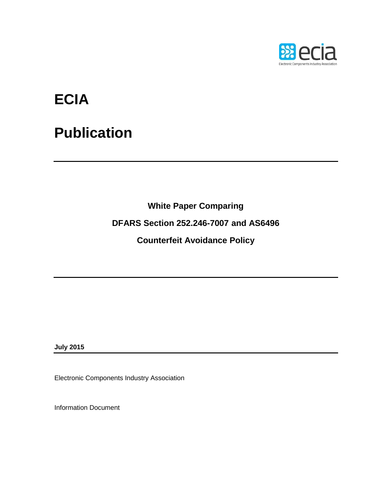

# **ECIA**

# **Publication**

**White Paper Comparing**

**DFARS Section 252.246-7007 and AS6496** 

**Counterfeit Avoidance Policy**

**July 2015**

Electronic Components Industry Association

Information Document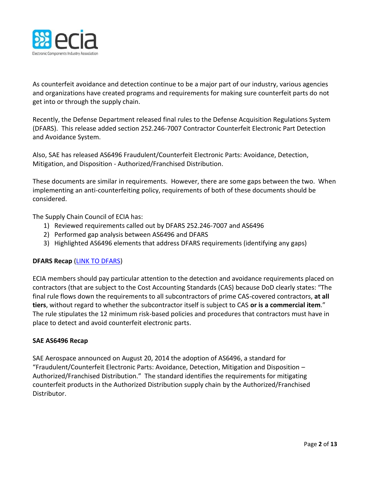

As counterfeit avoidance and detection continue to be a major part of our industry, various agencies and organizations have created programs and requirements for making sure counterfeit parts do not get into or through the supply chain.

Recently, the Defense Department released final rules to the Defense Acquisition Regulations System (DFARS). This release added section 252.246-7007 Contractor Counterfeit Electronic Part Detection and Avoidance System.

Also, SAE has released AS6496 Fraudulent/Counterfeit Electronic Parts: Avoidance, Detection, Mitigation, and Disposition - Authorized/Franchised Distribution.

These documents are similar in requirements. However, there are some gaps between the two. When implementing an anti-counterfeiting policy, requirements of both of these documents should be considered.

The Supply Chain Council of ECIA has:

- 1) Reviewed requirements called out by DFARS 252.246-7007 and AS6496
- 2) Performed gap analysis between AS6496 and DFARS
- 3) Highlighted AS6496 elements that address DFARS requirements (identifying any gaps)

# **DFARS Recap** [\(LINK TO DFARS\)](http://www.ecfr.gov/cgi-bin/text-idx?SID=e8f97d11c6c65126b84dbe40a04532f3&mc=true&node=se48.3.252_1246_67007&rgn=div8)

ECIA members should pay particular attention to the detection and avoidance requirements placed on contractors (that are subject to the Cost Accounting Standards (CAS) because DoD clearly states: "The final rule flows down the requirements to all subcontractors of prime CAS-covered contractors, **at all tiers**, without regard to whether the subcontractor itself is subject to CAS **or is a commercial item**." The rule stipulates the 12 minimum risk-based policies and procedures that contractors must have in place to detect and avoid counterfeit electronic parts.

## **SAE AS6496 Recap**

SAE Aerospace announced on August 20, 2014 the adoption of AS6496, a standard for "Fraudulent/Counterfeit Electronic Parts: Avoidance, Detection, Mitigation and Disposition – Authorized/Franchised Distribution." The standard identifies the requirements for mitigating counterfeit products in the Authorized Distribution supply chain by the Authorized/Franchised Distributor.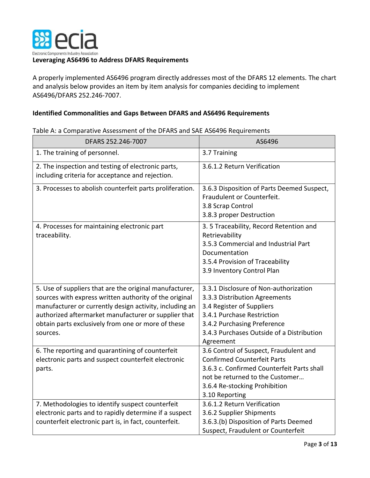

A properly implemented AS6496 program directly addresses most of the DFARS 12 elements. The chart and analysis below provides an item by item analysis for companies deciding to implement AS6496/DFARS 252.246-7007.

# **Identified Commonalities and Gaps Between DFARS and AS6496 Requirements**

| DFARS 252.246-7007                                                                                                                                                                                                                                                                                     | AS6496                                                                                                                                                                                                                     |
|--------------------------------------------------------------------------------------------------------------------------------------------------------------------------------------------------------------------------------------------------------------------------------------------------------|----------------------------------------------------------------------------------------------------------------------------------------------------------------------------------------------------------------------------|
| 1. The training of personnel.                                                                                                                                                                                                                                                                          | 3.7 Training                                                                                                                                                                                                               |
| 2. The inspection and testing of electronic parts,<br>including criteria for acceptance and rejection.                                                                                                                                                                                                 | 3.6.1.2 Return Verification                                                                                                                                                                                                |
| 3. Processes to abolish counterfeit parts proliferation.                                                                                                                                                                                                                                               | 3.6.3 Disposition of Parts Deemed Suspect,<br>Fraudulent or Counterfeit.<br>3.8 Scrap Control<br>3.8.3 proper Destruction                                                                                                  |
| 4. Processes for maintaining electronic part<br>traceability.                                                                                                                                                                                                                                          | 3.5 Traceability, Record Retention and<br>Retrievability<br>3.5.3 Commercial and Industrial Part<br>Documentation<br>3.5.4 Provision of Traceability<br>3.9 Inventory Control Plan                                         |
| 5. Use of suppliers that are the original manufacturer,<br>sources with express written authority of the original<br>manufacturer or currently design activity, including an<br>authorized aftermarket manufacturer or supplier that<br>obtain parts exclusively from one or more of these<br>sources. | 3.3.1 Disclosure of Non-authorization<br>3.3.3 Distribution Agreements<br>3.4 Register of Suppliers<br>3.4.1 Purchase Restriction<br>3.4.2 Purchasing Preference<br>3.4.3 Purchases Outside of a Distribution<br>Agreement |
| 6. The reporting and quarantining of counterfeit<br>electronic parts and suspect counterfeit electronic<br>parts.                                                                                                                                                                                      | 3.6 Control of Suspect, Fraudulent and<br><b>Confirmed Counterfeit Parts</b><br>3.6.3 c. Confirmed Counterfeit Parts shall<br>not be returned to the Customer<br>3.6.4 Re-stocking Prohibition<br>3.10 Reporting           |
| 7. Methodologies to identify suspect counterfeit<br>electronic parts and to rapidly determine if a suspect<br>counterfeit electronic part is, in fact, counterfeit.                                                                                                                                    | 3.6.1.2 Return Verification<br>3.6.2 Supplier Shipments<br>3.6.3.(b) Disposition of Parts Deemed<br>Suspect, Fraudulent or Counterfeit                                                                                     |

Table A: a Comparative Assessment of the DFARS and SAE AS6496 Requirements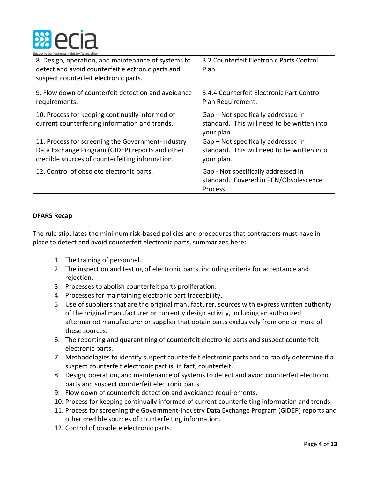

| 8. Design, operation, and maintenance of systems to<br>detect and avoid counterfeit electronic parts and<br>suspect counterfeit electronic parts.       | 3.2 Counterfeit Electronic Parts Control<br>Plan                                                 |
|---------------------------------------------------------------------------------------------------------------------------------------------------------|--------------------------------------------------------------------------------------------------|
| 9. Flow down of counterfeit detection and avoidance<br>requirements.                                                                                    | 3.4.4 Counterfeit Electronic Part Control<br>Plan Requirement.                                   |
| 10. Process for keeping continually informed of<br>current counterfeiting information and trends.                                                       | Gap – Not specifically addressed in<br>standard. This will need to be written into<br>your plan. |
| 11. Process for screening the Government-Industry<br>Data Exchange Program (GIDEP) reports and other<br>credible sources of counterfeiting information. | Gap – Not specifically addressed in<br>standard. This will need to be written into<br>your plan. |
| 12. Control of obsolete electronic parts.                                                                                                               | Gap - Not specifically addressed in<br>standard. Covered in PCN/Obsolescence<br>Process.         |

# **DFARS Recap**

The rule stipulates the minimum risk-based policies and procedures that contractors must have in place to detect and avoid counterfeit electronic parts, summarized here:

- 1. The training of personnel.
- 2. The inspection and testing of electronic parts, including criteria for acceptance and rejection.
- 3. Processes to abolish counterfeit parts proliferation.
- 4. Processes for maintaining electronic part traceability.
- 5. Use of suppliers that are the original manufacturer, sources with express written authority of the original manufacturer or currently design activity, including an authorized aftermarket manufacturer or supplier that obtain parts exclusively from one or more of these sources.
- 6. The reporting and quarantining of counterfeit electronic parts and suspect counterfeit electronic parts.
- 7. Methodologies to identify suspect counterfeit electronic parts and to rapidly determine if a suspect counterfeit electronic part is, in fact, counterfeit.
- 8. Design, operation, and maintenance of systems to detect and avoid counterfeit electronic parts and suspect counterfeit electronic parts.
- 9. Flow down of counterfeit detection and avoidance requirements.
- 10. Process for keeping continually informed of current counterfeiting information and trends.
- 11. Process for screening the Government-Industry Data Exchange Program (GIDEP) reports and other credible sources of counterfeiting information.
- 12. Control of obsolete electronic parts.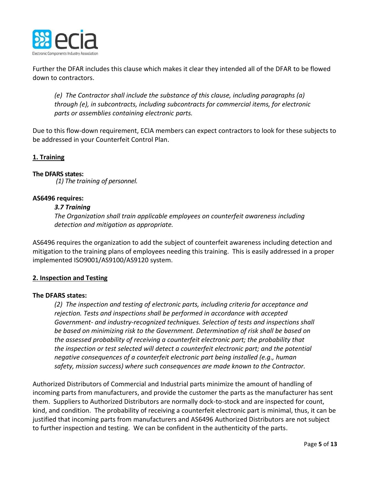

Further the DFAR includes this clause which makes it clear they intended all of the DFAR to be flowed down to contractors.

*(e) The Contractor shall include the substance of this clause, including paragraphs (a) through (e), in subcontracts, including subcontracts for commercial items, for electronic parts or assemblies containing electronic parts.*

Due to this flow-down requirement, ECIA members can expect contractors to look for these subjects to be addressed in your Counterfeit Control Plan.

# **1. Training**

## **The DFARS states:**

*(1) The training of personnel.*

## **AS6496 requires:**

## *3.7 Training*

*The Organization shall train applicable employees on counterfeit awareness including detection and mitigation as appropriate.*

AS6496 requires the organization to add the subject of counterfeit awareness including detection and mitigation to the training plans of employees needing this training. This is easily addressed in a proper implemented ISO9001/AS9100/AS9120 system.

## **2. Inspection and Testing**

## **The DFARS states:**

*(2) The inspection and testing of electronic parts, including criteria for acceptance and rejection. Tests and inspections shall be performed in accordance with accepted Government- and industry-recognized techniques. Selection of tests and inspections shall be based on minimizing risk to the Government. Determination of risk shall be based on the assessed probability of receiving a counterfeit electronic part; the probability that the inspection or test selected will detect a counterfeit electronic part; and the potential negative consequences of a counterfeit electronic part being installed (e.g., human safety, mission success) where such consequences are made known to the Contractor.*

Authorized Distributors of Commercial and Industrial parts minimize the amount of handling of incoming parts from manufacturers, and provide the customer the parts as the manufacturer has sent them. Suppliers to Authorized Distributors are normally dock-to-stock and are inspected for count, kind, and condition. The probability of receiving a counterfeit electronic part is minimal, thus, it can be justified that incoming parts from manufacturers and AS6496 Authorized Distributors are not subject to further inspection and testing. We can be confident in the authenticity of the parts.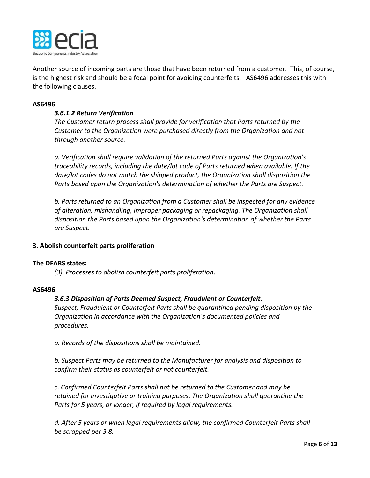

Another source of incoming parts are those that have been returned from a customer. This, of course, is the highest risk and should be a focal point for avoiding counterfeits. AS6496 addresses this with the following clauses.

#### **AS6496**

## *3.6.1.2 Return Verification*

*The Customer return process shall provide for verification that Parts returned by the Customer to the Organization were purchased directly from the Organization and not through another source.*

*a. Verification shall require validation of the returned Parts against the Organization's traceability records, including the date/lot code of Parts returned when available. If the date/lot codes do not match the shipped product, the Organization shall disposition the Parts based upon the Organization's determination of whether the Parts are Suspect.*

*b. Parts returned to an Organization from a Customer shall be inspected for any evidence of alteration, mishandling, improper packaging or repackaging. The Organization shall disposition the Parts based upon the Organization's determination of whether the Parts are Suspect.*

## **3. Abolish counterfeit parts proliferation**

## **The DFARS states:**

*(3) Processes to abolish counterfeit parts proliferation*.

## **AS6496**

## *3.6.3 Disposition of Parts Deemed Suspect, Fraudulent or Counterfeit.*

*Suspect, Fraudulent or Counterfeit Parts shall be quarantined pending disposition by the Organization in accordance with the Organization's documented policies and procedures.*

*a. Records of the dispositions shall be maintained.*

*b. Suspect Parts may be returned to the Manufacturer for analysis and disposition to confirm their status as counterfeit or not counterfeit.*

*c. Confirmed Counterfeit Parts shall not be returned to the Customer and may be retained for investigative or training purposes. The Organization shall quarantine the Parts for 5 years, or longer, if required by legal requirements.*

*d. After 5 years or when legal requirements allow, the confirmed Counterfeit Parts shall be scrapped per 3.8.*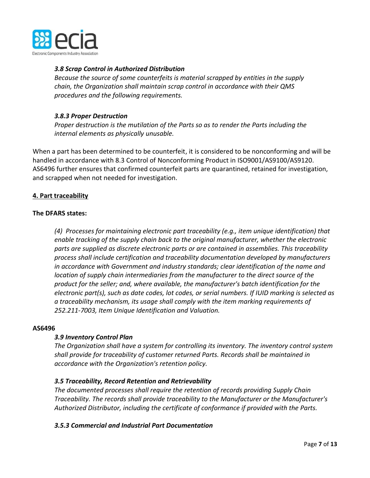

# *3.8 Scrap Control in Authorized Distribution*

*Because the source of some counterfeits is material scrapped by entities in the supply chain, the Organization shall maintain scrap control in accordance with their QMS procedures and the following requirements.*

# *3.8.3 Proper Destruction*

*Proper destruction is the mutilation of the Parts so as to render the Parts including the internal elements as physically unusable.*

When a part has been determined to be counterfeit, it is considered to be nonconforming and will be handled in accordance with 8.3 Control of Nonconforming Product in ISO9001/AS9100/AS9120. AS6496 further ensures that confirmed counterfeit parts are quarantined, retained for investigation, and scrapped when not needed for investigation.

# **4. Part traceability**

## **The DFARS states:**

*(4) Processes for maintaining electronic part traceability (e.g., item unique identification) that enable tracking of the supply chain back to the original manufacturer, whether the electronic parts are supplied as discrete electronic parts or are contained in assemblies. This traceability process shall include certification and traceability documentation developed by manufacturers in accordance with Government and industry standards; clear identification of the name and location of supply chain intermediaries from the manufacturer to the direct source of the product for the seller; and, where available, the manufacturer's batch identification for the electronic part(s), such as date codes, lot codes, or serial numbers. If IUID marking is selected as a traceability mechanism, its usage shall comply with the item marking requirements of 252.211-7003, Item Unique Identification and Valuation.* 

## **AS6496**

## *3.9 Inventory Control Plan*

*The Organization shall have a system for controlling its inventory. The inventory control system shall provide for traceability of customer returned Parts. Records shall be maintained in accordance with the Organization's retention policy.*

# *3.5 Traceability, Record Retention and Retrievability*

*The documented processes shall require the retention of records providing Supply Chain Traceability. The records shall provide traceability to the Manufacturer or the Manufacturer's Authorized Distributor, including the certificate of conformance if provided with the Parts.*

## *3.5.3 Commercial and Industrial Part Documentation*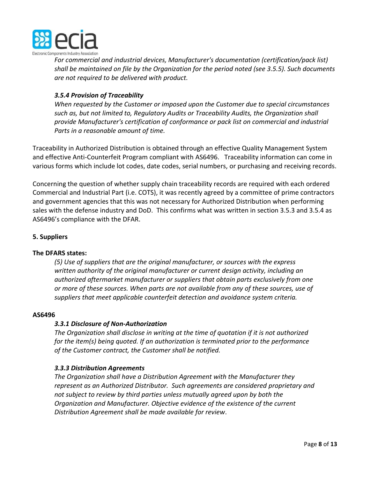

*For commercial and industrial devices, Manufacturer's documentation (certification/pack list) shall be maintained on file by the Organization for the period noted (see 3.5.5). Such documents are not required to be delivered with product.*

# *3.5.4 Provision of Traceability*

*When requested by the Customer or imposed upon the Customer due to special circumstances such as, but not limited to, Regulatory Audits or Traceability Audits, the Organization shall provide Manufacturer's certification of conformance or pack list on commercial and industrial Parts in a reasonable amount of time.*

Traceability in Authorized Distribution is obtained through an effective Quality Management System and effective Anti-Counterfeit Program compliant with AS6496. Traceability information can come in various forms which include lot codes, date codes, serial numbers, or purchasing and receiving records.

Concerning the question of whether supply chain traceability records are required with each ordered Commercial and Industrial Part (i.e. COTS), it was recently agreed by a committee of prime contractors and government agencies that this was not necessary for Authorized Distribution when performing sales with the defense industry and DoD. This confirms what was written in section 3.5.3 and 3.5.4 as AS6496's compliance with the DFAR.

# **5. Suppliers**

## **The DFARS states:**

*(5) Use of suppliers that are the original manufacturer, or sources with the express written authority of the original manufacturer or current design activity, including an authorized aftermarket manufacturer or suppliers that obtain parts exclusively from one or more of these sources. When parts are not available from any of these sources, use of suppliers that meet applicable counterfeit detection and avoidance system criteria.*

## **AS6496**

# *3.3.1 Disclosure of Non-Authorization*

*The Organization shall disclose in writing at the time of quotation if it is not authorized for the item(s) being quoted. If an authorization is terminated prior to the performance of the Customer contract, the Customer shall be notified.*

## *3.3.3 Distribution Agreements*

*The Organization shall have a Distribution Agreement with the Manufacturer they represent as an Authorized Distributor. Such agreements are considered proprietary and not subject to review by third parties unless mutually agreed upon by both the Organization and Manufacturer. Objective evidence of the existence of the current Distribution Agreement shall be made available for review*.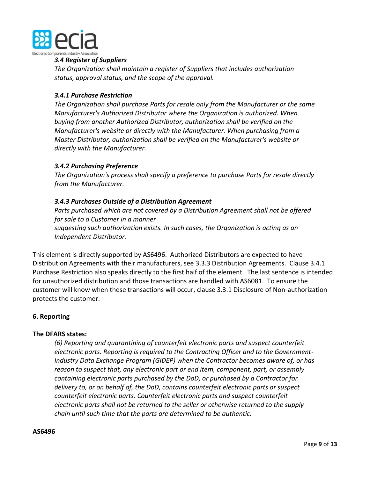

## *3.4 Register of Suppliers*

*The Organization shall maintain a register of Suppliers that includes authorization status, approval status, and the scope of the approval.*

## *3.4.1 Purchase Restriction*

*The Organization shall purchase Parts for resale only from the Manufacturer or the same Manufacturer's Authorized Distributor where the Organization is authorized. When buying from another Authorized Distributor, authorization shall be verified on the Manufacturer's website or directly with the Manufacturer. When purchasing from a Master Distributor, authorization shall be verified on the Manufacturer's website or directly with the Manufacturer.*

## *3.4.2 Purchasing Preference*

*The Organization's process shall specify a preference to purchase Parts for resale directly from the Manufacturer.*

# *3.4.3 Purchases Outside of a Distribution Agreement*

*Parts purchased which are not covered by a Distribution Agreement shall not be offered for sale to a Customer in a manner suggesting such authorization exists. In such cases, the Organization is acting as an Independent Distributor.*

This element is directly supported by AS6496. Authorized Distributors are expected to have Distribution Agreements with their manufacturers, see 3.3.3 Distribution Agreements. Clause 3.4.1 Purchase Restriction also speaks directly to the first half of the element. The last sentence is intended for unauthorized distribution and those transactions are handled with AS6081. To ensure the customer will know when these transactions will occur, clause 3.3.1 Disclosure of Non-authorization protects the customer.

## **6. Reporting**

## **The DFARS states:**

*(6) Reporting and quarantining of counterfeit electronic parts and suspect counterfeit electronic parts. Reporting is required to the Contracting Officer and to the Government-Industry Data Exchange Program (GIDEP) when the Contractor becomes aware of, or has reason to suspect that, any electronic part or end item, component, part, or assembly containing electronic parts purchased by the DoD, or purchased by a Contractor for delivery to, or on behalf of, the DoD, contains counterfeit electronic parts or suspect counterfeit electronic parts. Counterfeit electronic parts and suspect counterfeit electronic parts shall not be returned to the seller or otherwise returned to the supply chain until such time that the parts are determined to be authentic.*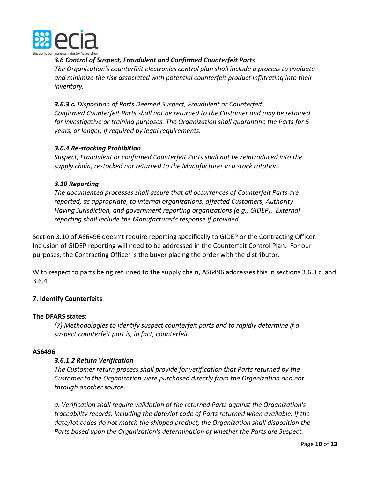

*3.6 Control of Suspect, Fraudulent and Confirmed Counterfeit Parts*

*The Organization's counterfeit electronics control plan shall include a process to evaluate and minimize the risk associated with potential counterfeit product infiltrating into their inventory.*

*3.6.3 c. Disposition of Parts Deemed Suspect, Fraudulent or Counterfeit Confirmed Counterfeit Parts shall not be returned to the Customer and may be retained for investigative or training purposes. The Organization shall quarantine the Parts for 5 years, or longer, if required by legal requirements.*

# *3.6.4 Re-stocking Prohibition*

*Suspect, Fraudulent or confirmed Counterfeit Parts shall not be reintroduced into the supply chain, restocked nor returned to the Manufacturer in a stock rotation.*

## *3.10 Reporting*

*The documented processes shall assure that all occurrences of Counterfeit Parts are reported, as appropriate, to internal organizations, affected Customers, Authority Having Jurisdiction, and government reporting organizations (e.g., GIDEP). External reporting shall include the Manufacturer's response if provided*.

Section 3.10 of AS6496 doesn't require reporting specifically to GIDEP or the Contracting Officer. Inclusion of GIDEP reporting will need to be addressed in the Counterfeit Control Plan. For our purposes, the Contracting Officer is the buyer placing the order with the distributor.

With respect to parts being returned to the supply chain, AS6496 addresses this in sections 3.6.3 c. and 3.6.4.

## **7. Identify Counterfeits**

## **The DFARS states:**

*(7) Methodologies to identify suspect counterfeit parts and to rapidly determine if a suspect counterfeit part is, in fact, counterfeit.*

## **AS6496**

## *3.6.1.2 Return Verification*

*The Customer return process shall provide for verification that Parts returned by the Customer to the Organization were purchased directly from the Organization and not through another source.*

*a. Verification shall require validation of the returned Parts against the Organization's traceability records, including the date/lot code of Parts returned when available. If the date/lot codes do not match the shipped product, the Organization shall disposition the Parts based upon the Organization's determination of whether the Parts are Suspect.*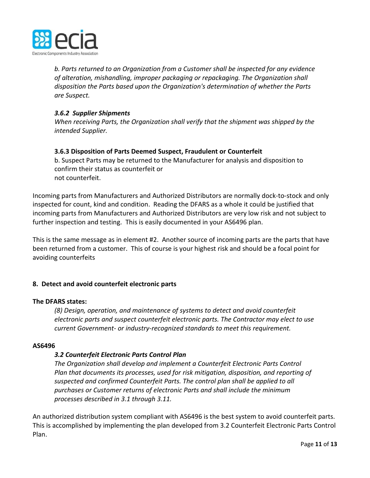

*b. Parts returned to an Organization from a Customer shall be inspected for any evidence of alteration, mishandling, improper packaging or repackaging. The Organization shall disposition the Parts based upon the Organization's determination of whether the Parts are Suspect.*

# *3.6.2 Supplier Shipments*

*When receiving Parts, the Organization shall verify that the shipment was shipped by the intended Supplier.*

# **3.6.3 Disposition of Parts Deemed Suspect, Fraudulent or Counterfeit**

b. Suspect Parts may be returned to the Manufacturer for analysis and disposition to confirm their status as counterfeit or not counterfeit.

Incoming parts from Manufacturers and Authorized Distributors are normally dock-to-stock and only inspected for count, kind and condition. Reading the DFARS as a whole it could be justified that incoming parts from Manufacturers and Authorized Distributors are very low risk and not subject to further inspection and testing. This is easily documented in your AS6496 plan.

This is the same message as in element #2. Another source of incoming parts are the parts that have been returned from a customer. This of course is your highest risk and should be a focal point for avoiding counterfeits

# **8. Detect and avoid counterfeit electronic parts**

## **The DFARS states:**

*(8) Design, operation, and maintenance of systems to detect and avoid counterfeit electronic parts and suspect counterfeit electronic parts. The Contractor may elect to use current Government- or industry-recognized standards to meet this requirement.*

## **AS6496**

# *3.2 Counterfeit Electronic Parts Control Plan*

*The Organization shall develop and implement a Counterfeit Electronic Parts Control Plan that documents its processes, used for risk mitigation, disposition, and reporting of suspected and confirmed Counterfeit Parts. The control plan shall be applied to all purchases or Customer returns of electronic Parts and shall include the minimum processes described in 3.1 through 3.11.*

An authorized distribution system compliant with AS6496 is the best system to avoid counterfeit parts. This is accomplished by implementing the plan developed from 3.2 Counterfeit Electronic Parts Control Plan.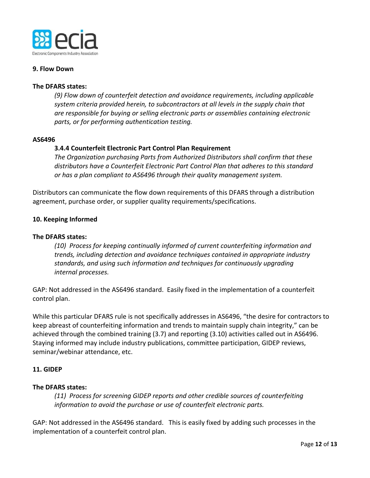

## **9. Flow Down**

## **The DFARS states:**

*(9) Flow down of counterfeit detection and avoidance requirements, including applicable system criteria provided herein, to subcontractors at all levels in the supply chain that are responsible for buying or selling electronic parts or assemblies containing electronic parts, or for performing authentication testing.*

## **AS6496**

## **3.4.4 Counterfeit Electronic Part Control Plan Requirement**

*The Organization purchasing Parts from Authorized Distributors shall confirm that these distributors have a Counterfeit Electronic Part Control Plan that adheres to this standard or has a plan compliant to AS6496 through their quality management system.*

Distributors can communicate the flow down requirements of this DFARS through a distribution agreement, purchase order, or supplier quality requirements/specifications.

## **10. Keeping Informed**

## **The DFARS states:**

*(10) Process for keeping continually informed of current counterfeiting information and trends, including detection and avoidance techniques contained in appropriate industry standards, and using such information and techniques for continuously upgrading internal processes.*

GAP: Not addressed in the AS6496 standard. Easily fixed in the implementation of a counterfeit control plan.

While this particular DFARS rule is not specifically addresses in AS6496, "the desire for contractors to keep abreast of counterfeiting information and trends to maintain supply chain integrity," can be achieved through the combined training (3.7) and reporting (3.10) activities called out in AS6496. Staying informed may include industry publications, committee participation, GIDEP reviews, seminar/webinar attendance, etc.

## **11. GIDEP**

## **The DFARS states:**

*(11) Process for screening GIDEP reports and other credible sources of counterfeiting information to avoid the purchase or use of counterfeit electronic parts.*

GAP: Not addressed in the AS6496 standard. This is easily fixed by adding such processes in the implementation of a counterfeit control plan.